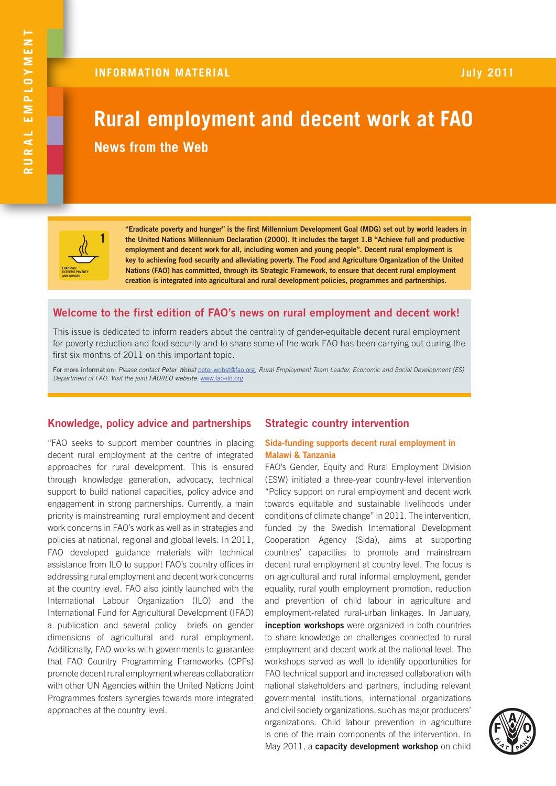# **Rural employment and decent work at FAO News from the Web**



**"Eradicate poverty and hunger" is the first Millennium Development Goal (MDG) set out by world leaders in the United Nations Millennium Declaration (2000). It includes the target 1.B "Achieve full and productive employment and decent work for all, including women and young people". Decent rural employment is key to achieving food security and alleviating poverty. The Food and Agriculture Organization of the United Nations (FAO) has committed, through its Strategic Framework, to ensure that decent rural employment creation is integrated into agricultural and rural development policies, programmes and partnerships.**

# **Welcome to the first edition of FAO's news on rural employment and decent work!**

This issue is dedicated to inform readers about the centrality of gender-equitable decent rural employment for poverty reduction and food security and to share some of the work FAO has been carrying out during the first six months of 2011 on this important topic.

For more information: *Please contact Peter Wobst* peter.wobst@fao.org*, Rural Employment Team Leader, Economic and Social Development (ES) Department of FAO. Visit the joint FAO/ILO website:* www.fao-ilo.org

# **Knowledge, policy advice and partnerships Strategic country intervention**

"FAO seeks to support member countries in placing decent rural employment at the centre of integrated approaches for rural development. This is ensured through knowledge generation, advocacy, technical support to build national capacities, policy advice and engagement in strong partnerships. Currently, a main priority is mainstreaming rural employment and decent work concerns in FAO's work as well as in strategies and policies at national, regional and global levels. In 2011, FAO developed guidance materials with technical assistance from ILO to support FAO's country offices in addressing rural employment and decent work concerns at the country level. FAO also jointly launched with the International Labour Organization (ILO) and the International Fund for Agricultural Development (IFAD) a publication and several policy briefs on gender dimensions of agricultural and rural employment. Additionally, FAO works with governments to guarantee that FAO Country Programming Frameworks (CPFs) promote decent rural employment whereas collaboration with other UN Agencies within the United Nations Joint Programmes fosters synergies towards more integrated approaches at the country level.

# **Sida-funding supports decent rural employment in Malawi & Tanzania**

FAO's Gender, Equity and Rural Employment Division (ESW) initiated a three-year country-level intervention "Policy support on rural employment and decent work towards equitable and sustainable livelihoods under conditions of climate change" in 2011. The intervention, funded by the Swedish International Development Cooperation Agency (Sida), aims at supporting countries' capacities to promote and mainstream decent rural employment at country level. The focus is on agricultural and rural informal employment, gender equality, rural youth employment promotion, reduction and prevention of child labour in agriculture and employment-related rural-urban linkages. In January, **inception workshops** were organized in both countries to share knowledge on challenges connected to rural employment and decent work at the national level. The workshops served as well to identify opportunities for FAO technical support and increased collaboration with national stakeholders and partners, including relevant governmental institutions, international organizations and civil society organizations, such as major producers' organizations. Child labour prevention in agriculture is one of the main components of the intervention. In May 2011, a **capacity development workshop** on child

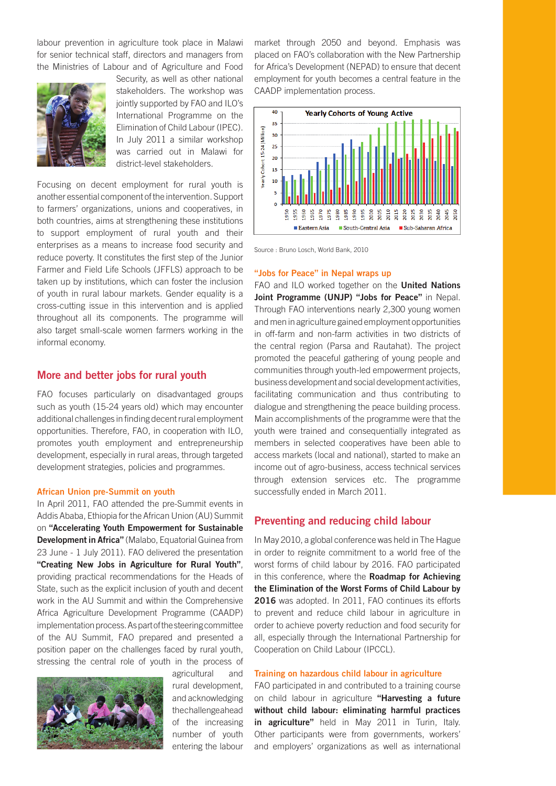labour prevention in agriculture took place in Malawi for senior technical staff, directors and managers from the Ministries of Labour and of Agriculture and Food



Security, as well as other national stakeholders. The workshop was jointly supported by FAO and ILO's International Programme on the Elimination of Child Labour (IPEC). In July 2011 a similar workshop was carried out in Malawi for district-level stakeholders.

Focusing on decent employment for rural youth is another essential component of the intervention. Support to farmers' organizations, unions and cooperatives, in both countries, aims at strengthening these institutions to support employment of rural youth and their enterprises as a means to increase food security and reduce poverty. It constitutes the first step of the Junior Farmer and Field Life Schools (JFFLS) approach to be taken up by institutions, which can foster the inclusion of youth in rural labour markets. Gender equality is a cross-cutting issue in this intervention and is applied throughout all its components. The programme will also target small-scale women farmers working in the informal economy.

# **More and better jobs for rural youth**

FAO focuses particularly on disadvantaged groups such as youth (15-24 years old) which may encounter additional challenges in finding decent rural employment opportunities. Therefore, FAO, in cooperation with ILO, promotes youth employment and entrepreneurship development, especially in rural areas, through targeted development strategies, policies and programmes.

#### **African Union pre-Summit on youth**

In April 2011, FAO attended the pre-Summit events in Addis Ababa, Ethiopia for the African Union (AU) Summit on **"Accelerating Youth Empowerment for Sustainable Development in Africa"** (Malabo, Equatorial Guinea from 23 June - 1 July 2011). FAO delivered the presentation **"Creating New Jobs in Agriculture for Rural Youth"**, providing practical recommendations for the Heads of State, such as the explicit inclusion of youth and decent work in the AU Summit and within the Comprehensive Africa Agriculture Development Programme (CAADP) implementation process. As part of the steering committee of the AU Summit, FAO prepared and presented a position paper on the challenges faced by rural youth, stressing the central role of youth in the process of



agricultural and rural development, and acknowledging the challenge ahead of the increasing number of youth entering the labour market through 2050 and beyond. Emphasis was placed on FAO's collaboration with the New Partnership for Africa's Development (NEPAD) to ensure that decent employment for youth becomes a central feature in the CAADP implementation process.



Source : Bruno Losch, World Bank, 2010

#### **"Jobs for Peace" in Nepal wraps up**

FAO and ILO worked together on the **United Nations Joint Programme (UNJP) "Jobs for Peace"** in Nepal. Through FAO interventions nearly 2,300 young women and men in agriculture gained employment opportunities in off-farm and non-farm activities in two districts of the central region (Parsa and Rautahat). The project promoted the peaceful gathering of young people and communities through youth-led empowerment projects, business development and social development activities, facilitating communication and thus contributing to dialogue and strengthening the peace building process. Main accomplishments of the programme were that the youth were trained and consequentially integrated as members in selected cooperatives have been able to access markets (local and national), started to make an income out of agro-business, access technical services through extension services etc. The programme successfully ended in March 2011.

# **Preventing and reducing child labour**

In May 2010, a global conference was held in The Hague in order to reignite commitment to a world free of the worst forms of child labour by 2016. FAO participated in this conference, where the **Roadmap for Achieving the Elimination of the Worst Forms of Child Labour by 2016** was adopted. In 2011, FAO continues its efforts to prevent and reduce child labour in agriculture in order to achieve poverty reduction and food security for all, especially through the International Partnership for Cooperation on Child Labour (IPCCL).

### **Training on hazardous child labour in agriculture**

FAO participated in and contributed to a training course on child labour in agriculture **"Harvesting a future without child labour: eliminating harmful practices in agriculture"** held in May 2011 in Turin, Italy. Other participants were from governments, workers' and employers' organizations as well as international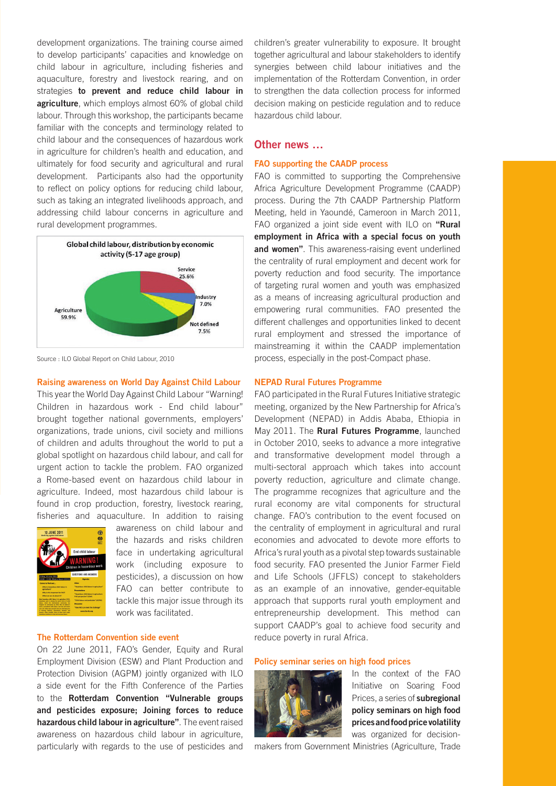development organizations. The training course aimed to develop participants' capacities and knowledge on child labour in agriculture, including fisheries and aquaculture, forestry and livestock rearing, and on strategies **to prevent and reduce child labour in agriculture**, which employs almost 60% of global child labour. Through this workshop, the participants became familiar with the concepts and terminology related to child labour and the consequences of hazardous work in agriculture for children's health and education, and ultimately for food security and agricultural and rural development. Participants also had the opportunity to reflect on policy options for reducing child labour, such as taking an integrated livelihoods approach, and addressing child labour concerns in agriculture and rural development programmes.



Source : ILO Global Report on Child Labour, 2010

**Raising awareness on World Day Against Child Labour** 

This year the World Day Against Child Labour "Warning! Children in hazardous work - End child labour" brought together national governments, employers' organizations, trade unions, civil society and millions of children and adults throughout the world to put a global spotlight on hazardous child labour, and call for urgent action to tackle the problem. FAO organized a Rome-based event on hazardous child labour in agriculture. Indeed, most hazardous child labour is found in crop production, forestry, livestock rearing, fisheries and aquaculture. In addition to raising



awareness on child labour and the hazards and risks children face in undertaking agricultural work (including exposure to pesticides), a discussion on how FAO can better contribute to tackle this major issue through its work was facilitated.

# **The Rotterdam Convention side event**

On 22 June 2011, FAO's Gender, Equity and Rural Employment Division (ESW) and Plant Production and Protection Division (AGPM) jointly organized with ILO a side event for the Fifth Conference of the Parties to the **Rotterdam Convention "Vulnerable groups and pesticides exposure; Joining forces to reduce hazardous child labour in agriculture"**. The event raised awareness on hazardous child labour in agriculture, particularly with regards to the use of pesticides and children's greater vulnerability to exposure. It brought together agricultural and labour stakeholders to identify synergies between child labour initiatives and the implementation of the Rotterdam Convention, in order to strengthen the data collection process for informed decision making on pesticide regulation and to reduce hazardous child labour.

# **Other news …**

### **FAO supporting the CAADP process**

FAO is committed to supporting the Comprehensive Africa Agriculture Development Programme (CAADP) process. During the 7th CAADP Partnership Platform Meeting, held in Yaoundé, Cameroon in March 2011, FAO organized a joint side event with ILO on **"Rural employment in Africa with a special focus on youth and women"**. This awareness-raising event underlined the centrality of rural employment and decent work for poverty reduction and food security. The importance of targeting rural women and youth was emphasized as a means of increasing agricultural production and empowering rural communities. FAO presented the different challenges and opportunities linked to decent rural employment and stressed the importance of mainstreaming it within the CAADP implementation process, especially in the post-Compact phase.

## **NEPAD Rural Futures Programme**

FAO participated in the Rural Futures Initiative strategic meeting, organized by the New Partnership for Africa's Development (NEPAD) in Addis Ababa, Ethiopia in May 2011. The **Rural Futures Programme**, launched in October 2010, seeks to advance a more integrative and transformative development model through a multi-sectoral approach which takes into account poverty reduction, agriculture and climate change. The programme recognizes that agriculture and the rural economy are vital components for structural change. FAO's contribution to the event focused on the centrality of employment in agricultural and rural economies and advocated to devote more efforts to Africa's rural youth as a pivotal step towards sustainable food security. FAO presented the Junior Farmer Field and Life Schools (JFFLS) concept to stakeholders as an example of an innovative, gender-equitable approach that supports rural youth employment and entrepreneurship development. This method can support CAADP's goal to achieve food security and reduce poverty in rural Africa.

#### **Policy seminar series on high food prices**



In the context of the FAO Initiative on Soaring Food Prices, a series of **subregional policy seminars on high food prices and food price volatility** was organized for decision-

makers from Government Ministries (Agriculture, Trade